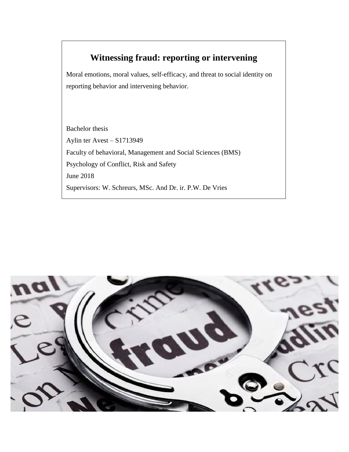# **Witnessing fraud: reporting or intervening**

Moral emotions, moral values, self-efficacy, and threat to social identity on reporting behavior and intervening behavior.

Bachelor thesis Aylin ter Avest – S1713949 Faculty of behavioral, Management and Social Sciences (BMS) Psychology of Conflict, Risk and Safety June 2018 Supervisors: W. Schreurs, MSc. And Dr. ir. P.W. De Vries

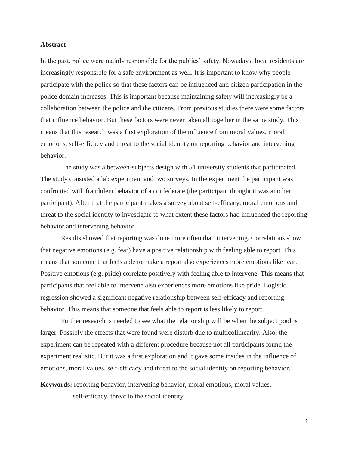#### **Abstract**

In the past, police were mainly responsible for the publics' safety. Nowadays, local residents are increasingly responsible for a safe environment as well. It is important to know why people participate with the police so that these factors can be influenced and citizen participation in the police domain increases. This is important because maintaining safety will increasingly be a collaboration between the police and the citizens. From previous studies there were some factors that influence behavior. But these factors were never taken all together in the same study. This means that this research was a first exploration of the influence from moral values, moral emotions, self-efficacy and threat to the social identity on reporting behavior and intervening behavior.

The study was a between-subjects design with 51 university students that participated. The study consisted a lab experiment and two surveys. In the experiment the participant was confronted with fraudulent behavior of a confederate (the participant thought it was another participant). After that the participant makes a survey about self-efficacy, moral emotions and threat to the social identity to investigate to what extent these factors had influenced the reporting behavior and intervening behavior.

Results showed that reporting was done more often than intervening. Correlations show that negative emotions (e.g. fear) have a positive relationship with feeling able to report. This means that someone that feels able to make a report also experiences more emotions like fear. Positive emotions (e.g. pride) correlate positively with feeling able to intervene. This means that participants that feel able to intervene also experiences more emotions like pride. Logistic regression showed a significant negative relationship between self-efficacy and reporting behavior. This means that someone that feels able to report is less likely to report.

Further research is needed to see what the relationship will be when the subject pool is larger. Possibly the effects that were found were disturb due to multicollinearity. Also, the experiment can be repeated with a different procedure because not all participants found the experiment realistic. But it was a first exploration and it gave some insides in the influence of emotions, moral values, self-efficacy and threat to the social identity on reporting behavior.

**Keywords:** reporting behavior, intervening behavior, moral emotions, moral values,

self-efficacy, threat to the social identity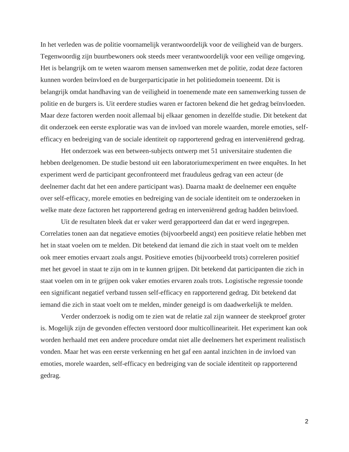In het verleden was de politie voornamelijk verantwoordelijk voor de veiligheid van de burgers. Tegenwoordig zijn buurtbewoners ook steeds meer verantwoordelijk voor een veilige omgeving. Het is belangrijk om te weten waarom mensen samenwerken met de politie, zodat deze factoren kunnen worden beïnvloed en de burgerparticipatie in het politiedomein toeneemt. Dit is belangrijk omdat handhaving van de veiligheid in toenemende mate een samenwerking tussen de politie en de burgers is. Uit eerdere studies waren er factoren bekend die het gedrag beïnvloeden. Maar deze factoren werden nooit allemaal bij elkaar genomen in dezelfde studie. Dit betekent dat dit onderzoek een eerste exploratie was van de invloed van morele waarden, morele emoties, selfefficacy en bedreiging van de sociale identiteit op rapporterend gedrag en interveniërend gedrag.

Het onderzoek was een between-subjects ontwerp met 51 universitaire studenten die hebben deelgenomen. De studie bestond uit een laboratoriumexperiment en twee enquêtes. In het experiment werd de participant geconfronteerd met frauduleus gedrag van een acteur (de deelnemer dacht dat het een andere participant was). Daarna maakt de deelnemer een enquête over self-efficacy, morele emoties en bedreiging van de sociale identiteit om te onderzoeken in welke mate deze factoren het rapporterend gedrag en interveniërend gedrag hadden beïnvloed.

Uit de resultaten bleek dat er vaker werd gerapporteerd dan dat er werd ingegrepen. Correlaties tonen aan dat negatieve emoties (bijvoorbeeld angst) een positieve relatie hebben met het in staat voelen om te melden. Dit betekend dat iemand die zich in staat voelt om te melden ook meer emoties ervaart zoals angst. Positieve emoties (bijvoorbeeld trots) correleren positief met het gevoel in staat te zijn om in te kunnen grijpen. Dit betekend dat participanten die zich in staat voelen om in te grijpen ook vaker emoties ervaren zoals trots. Logistische regressie toonde een significant negatief verband tussen self-efficacy en rapporterend gedrag. Dit betekend dat iemand die zich in staat voelt om te melden, minder geneigd is om daadwerkelijk te melden.

Verder onderzoek is nodig om te zien wat de relatie zal zijn wanneer de steekproef groter is. Mogelijk zijn de gevonden effecten verstoord door multicollineariteit. Het experiment kan ook worden herhaald met een andere procedure omdat niet alle deelnemers het experiment realistisch vonden. Maar het was een eerste verkenning en het gaf een aantal inzichten in de invloed van emoties, morele waarden, self-efficacy en bedreiging van de sociale identiteit op rapporterend gedrag.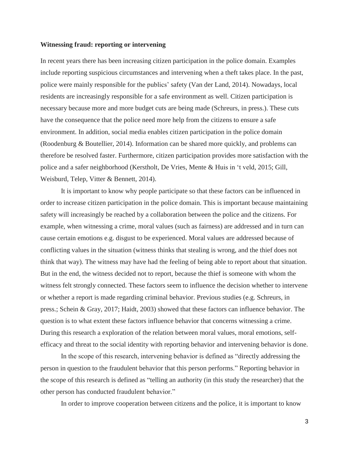#### **Witnessing fraud: reporting or intervening**

In recent years there has been increasing citizen participation in the police domain. Examples include reporting suspicious circumstances and intervening when a theft takes place. In the past, police were mainly responsible for the publics' safety (Van der Land, 2014). Nowadays, local residents are increasingly responsible for a safe environment as well. Citizen participation is necessary because more and more budget cuts are being made (Schreurs, in press.). These cuts have the consequence that the police need more help from the citizens to ensure a safe environment. In addition, social media enables citizen participation in the police domain (Roodenburg & Boutellier, 2014). Information can be shared more quickly, and problems can therefore be resolved faster. Furthermore, citizen participation provides more satisfaction with the police and a safer neighborhood (Kerstholt, De Vries, Mente & Huis in 't veld, 2015; Gill, Weisburd, Telep, Vitter & Bennett, 2014).

It is important to know why people participate so that these factors can be influenced in order to increase citizen participation in the police domain. This is important because maintaining safety will increasingly be reached by a collaboration between the police and the citizens. For example, when witnessing a crime, moral values (such as fairness) are addressed and in turn can cause certain emotions e.g. disgust to be experienced. Moral values are addressed because of conflicting values in the situation (witness thinks that stealing is wrong, and the thief does not think that way). The witness may have had the feeling of being able to report about that situation. But in the end, the witness decided not to report, because the thief is someone with whom the witness felt strongly connected. These factors seem to influence the decision whether to intervene or whether a report is made regarding criminal behavior. Previous studies (e.g. Schreurs, in press.; Schein & Gray, 2017; Haidt, 2003) showed that these factors can influence behavior. The question is to what extent these factors influence behavior that concerns witnessing a crime. During this research a exploration of the relation between moral values, moral emotions, selfefficacy and threat to the social identity with reporting behavior and intervening behavior is done.

In the scope of this research, intervening behavior is defined as "directly addressing the person in question to the fraudulent behavior that this person performs." Reporting behavior in the scope of this research is defined as "telling an authority (in this study the researcher) that the other person has conducted fraudulent behavior."

In order to improve cooperation between citizens and the police, it is important to know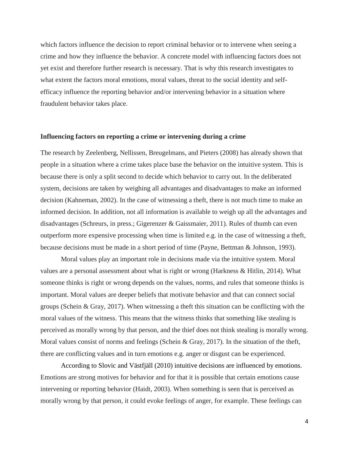which factors influence the decision to report criminal behavior or to intervene when seeing a crime and how they influence the behavior. A concrete model with influencing factors does not yet exist and therefore further research is necessary. That is why this research investigates to what extent the factors moral emotions, moral values, threat to the social identity and selfefficacy influence the reporting behavior and/or intervening behavior in a situation where fraudulent behavior takes place.

#### **Influencing factors on reporting a crime or intervening during a crime**

The research by Zeelenberg, Nellissen, Breugelmans, and Pieters (2008) has already shown that people in a situation where a crime takes place base the behavior on the intuitive system. This is because there is only a split second to decide which behavior to carry out. In the deliberated system, decisions are taken by weighing all advantages and disadvantages to make an informed decision (Kahneman, 2002). In the case of witnessing a theft, there is not much time to make an informed decision. In addition, not all information is available to weigh up all the advantages and disadvantages (Schreurs, in press.; Gigerenzer & Gaissmaier, 2011). Rules of thumb can even outperform more expensive processing when time is limited e.g. in the case of witnessing a theft, because decisions must be made in a short period of time (Payne, Bettman & Johnson, 1993).

Moral values play an important role in decisions made via the intuitive system. Moral values are a personal assessment about what is right or wrong (Harkness & Hitlin, 2014). What someone thinks is right or wrong depends on the values, norms, and rules that someone thinks is important. Moral values are deeper beliefs that motivate behavior and that can connect social groups (Schein & Gray, 2017). When witnessing a theft this situation can be conflicting with the moral values of the witness. This means that the witness thinks that something like stealing is perceived as morally wrong by that person, and the thief does not think stealing is morally wrong. Moral values consist of norms and feelings (Schein & Gray, 2017). In the situation of the theft, there are conflicting values and in turn emotions e.g. anger or disgust can be experienced.

According to Slovic and Västfjäll (2010) intuitive decisions are influenced by emotions. Emotions are strong motives for behavior and for that it is possible that certain emotions cause intervening or reporting behavior (Haidt, 2003). When something is seen that is perceived as morally wrong by that person, it could evoke feelings of anger, for example. These feelings can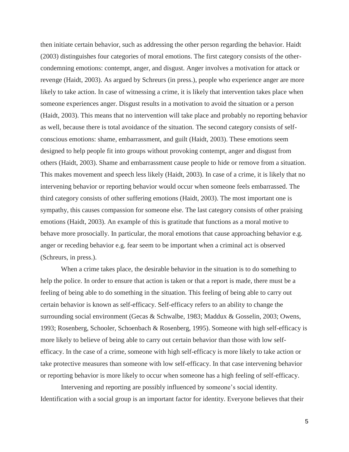then initiate certain behavior, such as addressing the other person regarding the behavior. Haidt (2003) distinguishes four categories of moral emotions. The first category consists of the othercondemning emotions: contempt, anger, and disgust. Anger involves a motivation for attack or revenge (Haidt, 2003). As argued by Schreurs (in press.), people who experience anger are more likely to take action. In case of witnessing a crime, it is likely that intervention takes place when someone experiences anger. Disgust results in a motivation to avoid the situation or a person (Haidt, 2003). This means that no intervention will take place and probably no reporting behavior as well, because there is total avoidance of the situation. The second category consists of selfconscious emotions: shame, embarrassment, and guilt (Haidt, 2003). These emotions seem designed to help people fit into groups without provoking contempt, anger and disgust from others (Haidt, 2003). Shame and embarrassment cause people to hide or remove from a situation. This makes movement and speech less likely (Haidt, 2003). In case of a crime, it is likely that no intervening behavior or reporting behavior would occur when someone feels embarrassed. The third category consists of other suffering emotions (Haidt, 2003). The most important one is sympathy, this causes compassion for someone else. The last category consists of other praising emotions (Haidt, 2003). An example of this is gratitude that functions as a moral motive to behave more prosocially. In particular, the moral emotions that cause approaching behavior e.g. anger or receding behavior e.g. fear seem to be important when a criminal act is observed (Schreurs, in press.).

When a crime takes place, the desirable behavior in the situation is to do something to help the police. In order to ensure that action is taken or that a report is made, there must be a feeling of being able to do something in the situation. This feeling of being able to carry out certain behavior is known as self-efficacy. Self-efficacy refers to an ability to change the surrounding social environment (Gecas & Schwalbe, 1983; Maddux & Gosselin, 2003; Owens, 1993; Rosenberg, Schooler, Schoenbach & Rosenberg, 1995). Someone with high self-efficacy is more likely to believe of being able to carry out certain behavior than those with low selfefficacy. In the case of a crime, someone with high self-efficacy is more likely to take action or take protective measures than someone with low self-efficacy. In that case intervening behavior or reporting behavior is more likely to occur when someone has a high feeling of self-efficacy.

Intervening and reporting are possibly influenced by someone's social identity. Identification with a social group is an important factor for identity. Everyone believes that their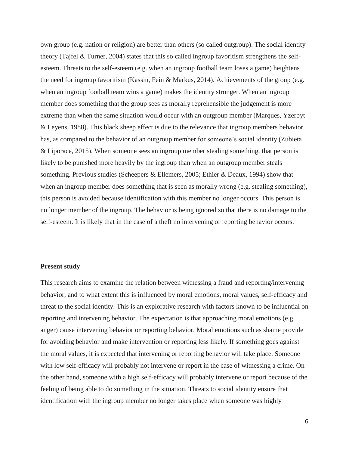own group (e.g. nation or religion) are better than others (so called outgroup). The social identity theory (Tajfel & Turner, 2004) states that this so called ingroup favoritism strengthens the selfesteem. Threats to the self-esteem (e.g. when an ingroup football team loses a game) heightens the need for ingroup favoritism (Kassin, Fein & Markus, 2014). Achievements of the group (e.g. when an ingroup football team wins a game) makes the identity stronger. When an ingroup member does something that the group sees as morally reprehensible the judgement is more extreme than when the same situation would occur with an outgroup member (Marques, Yzerbyt & Leyens, 1988). This black sheep effect is due to the relevance that ingroup members behavior has, as compared to the behavior of an outgroup member for someone's social identity (Zubieta & Liporace, 2015). When someone sees an ingroup member stealing something, that person is likely to be punished more heavily by the ingroup than when an outgroup member steals something. Previous studies (Scheepers & Ellemers, 2005; Ethier & Deaux, 1994) show that when an ingroup member does something that is seen as morally wrong (e.g. stealing something), this person is avoided because identification with this member no longer occurs. This person is no longer member of the ingroup. The behavior is being ignored so that there is no damage to the self-esteem. It is likely that in the case of a theft no intervening or reporting behavior occurs.

#### **Present study**

This research aims to examine the relation between witnessing a fraud and reporting/intervening behavior, and to what extent this is influenced by moral emotions, moral values, self-efficacy and threat to the social identity. This is an explorative research with factors known to be influential on reporting and intervening behavior. The expectation is that approaching moral emotions (e.g. anger) cause intervening behavior or reporting behavior. Moral emotions such as shame provide for avoiding behavior and make intervention or reporting less likely. If something goes against the moral values, it is expected that intervening or reporting behavior will take place. Someone with low self-efficacy will probably not intervene or report in the case of witnessing a crime. On the other hand, someone with a high self-efficacy will probably intervene or report because of the feeling of being able to do something in the situation. Threats to social identity ensure that identification with the ingroup member no longer takes place when someone was highly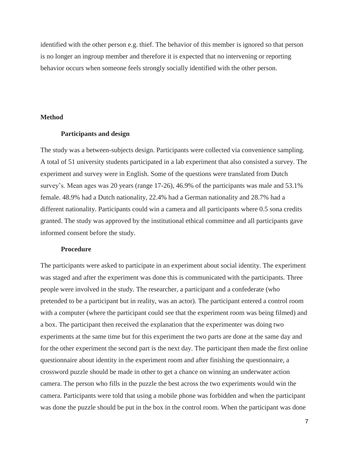identified with the other person e.g. thief. The behavior of this member is ignored so that person is no longer an ingroup member and therefore it is expected that no intervening or reporting behavior occurs when someone feels strongly socially identified with the other person.

#### **Method**

#### **Participants and design**

The study was a between-subjects design. Participants were collected via convenience sampling. A total of 51 university students participated in a lab experiment that also consisted a survey. The experiment and survey were in English. Some of the questions were translated from Dutch survey's. Mean ages was 20 years (range 17-26), 46.9% of the participants was male and 53.1% female. 48.9% had a Dutch nationality, 22.4% had a German nationality and 28.7% had a different nationality. Participants could win a camera and all participants where 0.5 sona credits granted. The study was approved by the institutional ethical committee and all participants gave informed consent before the study.

#### **Procedure**

The participants were asked to participate in an experiment about social identity. The experiment was staged and after the experiment was done this is communicated with the participants. Three people were involved in the study. The researcher, a participant and a confederate (who pretended to be a participant but in reality, was an actor). The participant entered a control room with a computer (where the participant could see that the experiment room was being filmed) and a box. The participant then received the explanation that the experimenter was doing two experiments at the same time but for this experiment the two parts are done at the same day and for the other experiment the second part is the next day. The participant then made the first online questionnaire about identity in the experiment room and after finishing the questionnaire, a crossword puzzle should be made in other to get a chance on winning an underwater action camera. The person who fills in the puzzle the best across the two experiments would win the camera. Participants were told that using a mobile phone was forbidden and when the participant was done the puzzle should be put in the box in the control room. When the participant was done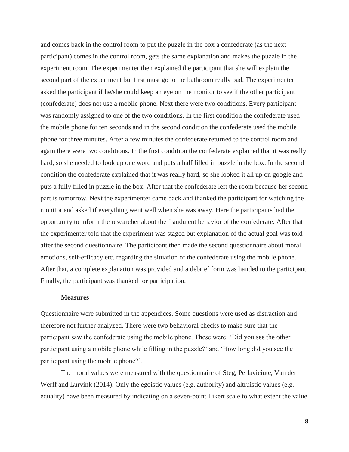and comes back in the control room to put the puzzle in the box a confederate (as the next participant) comes in the control room, gets the same explanation and makes the puzzle in the experiment room. The experimenter then explained the participant that she will explain the second part of the experiment but first must go to the bathroom really bad. The experimenter asked the participant if he/she could keep an eye on the monitor to see if the other participant (confederate) does not use a mobile phone. Next there were two conditions. Every participant was randomly assigned to one of the two conditions. In the first condition the confederate used the mobile phone for ten seconds and in the second condition the confederate used the mobile phone for three minutes. After a few minutes the confederate returned to the control room and again there were two conditions. In the first condition the confederate explained that it was really hard, so she needed to look up one word and puts a half filled in puzzle in the box. In the second condition the confederate explained that it was really hard, so she looked it all up on google and puts a fully filled in puzzle in the box. After that the confederate left the room because her second part is tomorrow. Next the experimenter came back and thanked the participant for watching the monitor and asked if everything went well when she was away. Here the participants had the opportunity to inform the researcher about the fraudulent behavior of the confederate. After that the experimenter told that the experiment was staged but explanation of the actual goal was told after the second questionnaire. The participant then made the second questionnaire about moral emotions, self-efficacy etc. regarding the situation of the confederate using the mobile phone. After that, a complete explanation was provided and a debrief form was handed to the participant. Finally, the participant was thanked for participation.

#### **Measures**

Questionnaire were submitted in the appendices. Some questions were used as distraction and therefore not further analyzed. There were two behavioral checks to make sure that the participant saw the confederate using the mobile phone. These were: 'Did you see the other participant using a mobile phone while filling in the puzzle?' and 'How long did you see the participant using the mobile phone?'.

The moral values were measured with the questionnaire of Steg, Perlaviciute, Van der Werff and Lurvink (2014). Only the egoistic values (e.g. authority) and altruistic values (e.g. equality) have been measured by indicating on a seven-point Likert scale to what extent the value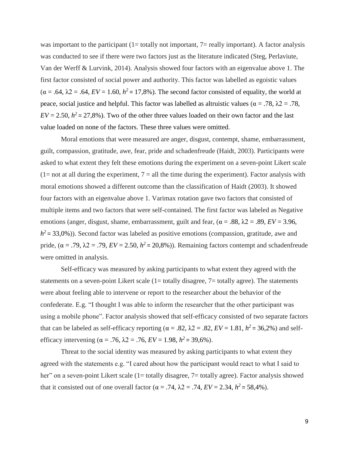was important to the participant  $(1=$  totally not important,  $7=$  really important). A factor analysis was conducted to see if there were two factors just as the literature indicated (Steg, Perlaviute, Van der Werff & Lurvink, 2014). Analysis showed four factors with an eigenvalue above 1. The first factor consisted of social power and authority. This factor was labelled as egoistic values  $(\alpha = .64, \lambda) = .64, EV = 1.60, h^2 = 17,8\%$ . The second factor consisted of equality, the world at peace, social justice and helpful. This factor was labelled as altruistic values (α = .78,  $λ2 = .78$ ,  $EV = 2.50$ ,  $h^2 = 27,8\%$ ). Two of the other three values loaded on their own factor and the last value loaded on none of the factors. These three values were omitted.

Moral emotions that were measured are anger, disgust, contempt, shame, embarrassment, guilt, compassion, gratitude, awe, fear, pride and schadenfreude (Haidt, 2003). Participants were asked to what extent they felt these emotions during the experiment on a seven-point Likert scale  $(1=$  not at all during the experiment,  $7 =$  all the time during the experiment). Factor analysis with moral emotions showed a different outcome than the classification of Haidt (2003). It showed four factors with an eigenvalue above 1. Varimax rotation gave two factors that consisted of multiple items and two factors that were self-contained. The first factor was labeled as Negative emotions (anger, disgust, shame, embarrassment, guilt and fear, ( $\alpha = .88$ ,  $\lambda = 2 = .89$ ,  $EV = 3.96$ ,  $h^2$  = 33,0%)). Second factor was labeled as positive emotions (compassion, gratitude, awe and pride,  $(\alpha = .79, \lambda_2 = .79, EV = 2.50, h^2 = 20,8\%)$ . Remaining factors contempt and schadenfreude were omitted in analysis.

Self-efficacy was measured by asking participants to what extent they agreed with the statements on a seven-point Likert scale (1= totally disagree, 7= totally agree). The statements were about feeling able to intervene or report to the researcher about the behavior of the confederate. E.g. "I thought I was able to inform the researcher that the other participant was using a mobile phone". Factor analysis showed that self-efficacy consisted of two separate factors that can be labeled as self-efficacy reporting ( $\alpha = .82$ ,  $\lambda = .82$ ,  $EV = 1.81$ ,  $h^2 = 36,2\%$ ) and selfefficacy intervening ( $\alpha = .76$ ,  $\lambda = 0.76$ ,  $EV = 1.98$ ,  $h^2 = 39,6\%$ ).

Threat to the social identity was measured by asking participants to what extent they agreed with the statements e.g. "I cared about how the participant would react to what I said to her" on a seven-point Likert scale (1= totally disagree, 7= totally agree). Factor analysis showed that it consisted out of one overall factor ( $\alpha = .74$ ,  $\lambda = 0.74$ ,  $EV = 2.34$ ,  $h^2 = 58,4\%$ ).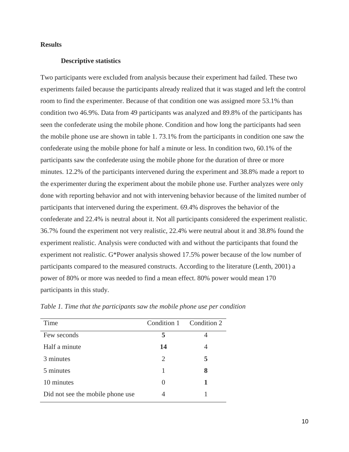# **Results**

#### **Descriptive statistics**

Two participants were excluded from analysis because their experiment had failed. These two experiments failed because the participants already realized that it was staged and left the control room to find the experimenter. Because of that condition one was assigned more 53.1% than condition two 46.9%. Data from 49 participants was analyzed and 89.8% of the participants has seen the confederate using the mobile phone. Condition and how long the participants had seen the mobile phone use are shown in table 1. 73.1% from the participants in condition one saw the confederate using the mobile phone for half a minute or less. In condition two, 60.1% of the participants saw the confederate using the mobile phone for the duration of three or more minutes. 12.2% of the participants intervened during the experiment and 38.8% made a report to the experimenter during the experiment about the mobile phone use. Further analyzes were only done with reporting behavior and not with intervening behavior because of the limited number of participants that intervened during the experiment. 69.4% disproves the behavior of the confederate and 22.4% is neutral about it. Not all participants considered the experiment realistic. 36.7% found the experiment not very realistic, 22.4% were neutral about it and 38.8% found the experiment realistic. Analysis were conducted with and without the participants that found the experiment not realistic. G\*Power analysis showed 17.5% power because of the low number of participants compared to the measured constructs. According to the literature (Lenth, 2001) a power of 80% or more was needed to find a mean effect. 80% power would mean 170 participants in this study.

| Condition 1 Condition 2 |   |
|-------------------------|---|
| 5                       |   |
| 14                      | 4 |
| 2                       | 5 |
|                         | 8 |
| $\mathbf{\Omega}$       |   |
|                         |   |
|                         |   |

*Table 1. Time that the participants saw the mobile phone use per condition*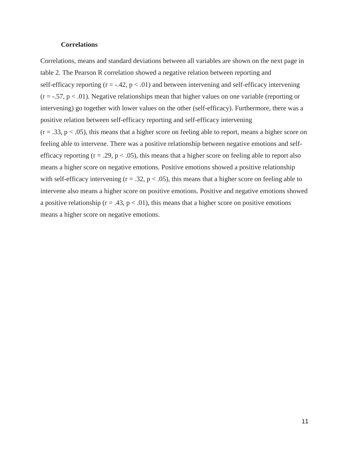### **Correlations**

Correlations, means and standard deviations between all variables are shown on the next page in table 2. The Pearson R correlation showed a negative relation between reporting and self-efficacy reporting  $(r = -.42, p < .01)$  and between intervening and self-efficacy intervening  $(r = -.57, p < .01)$ . Negative relationships mean that higher values on one variable (reporting or intervening) go together with lower values on the other (self-efficacy). Furthermore, there was a positive relation between self-efficacy reporting and self-efficacy intervening  $(r = .33, p < .05)$ , this means that a higher score on feeling able to report, means a higher score on feeling able to intervene. There was a positive relationship between negative emotions and selfefficacy reporting  $(r = .29, p < .05)$ , this means that a higher score on feeling able to report also means a higher score on negative emotions. Positive emotions showed a positive relationship with self-efficacy intervening ( $r = .32$ ,  $p < .05$ ), this means that a higher score on feeling able to intervene also means a higher score on positive emotions. Positive and negative emotions showed a positive relationship ( $r = .43$ ,  $p < .01$ ), this means that a higher score on positive emotions means a higher score on negative emotions.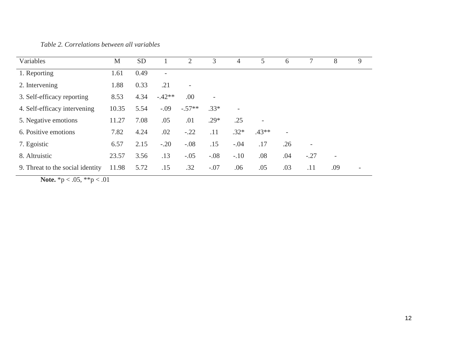*Table 2. Correlations between all variables*

| Variables                        | M     | <b>SD</b> |          | $\overline{2}$           | 3                        | 4                        | 5                        | 6   | $7\phantom{.0}$          | 8                        | 9 |
|----------------------------------|-------|-----------|----------|--------------------------|--------------------------|--------------------------|--------------------------|-----|--------------------------|--------------------------|---|
| 1. Reporting                     | 1.61  | 0.49      |          |                          |                          |                          |                          |     |                          |                          |   |
| 2. Intervening                   | 1.88  | 0.33      | .21      | $\overline{\phantom{a}}$ |                          |                          |                          |     |                          |                          |   |
| 3. Self-efficacy reporting       | 8.53  | 4.34      | $-.42**$ | .00                      | $\overline{\phantom{a}}$ |                          |                          |     |                          |                          |   |
| 4. Self-efficacy intervening     | 10.35 | 5.54      | $-.09$   | $-.57**$                 | $.33*$                   | $\overline{\phantom{a}}$ |                          |     |                          |                          |   |
| 5. Negative emotions             | 11.27 | 7.08      | .05      | .01                      | $.29*$                   | .25                      | $\overline{\phantom{a}}$ |     |                          |                          |   |
| 6. Positive emotions             | 7.82  | 4.24      | .02      | $-.22$                   | .11                      | $.32*$                   | $.43**$                  |     |                          |                          |   |
| 7. Egoistic                      | 6.57  | 2.15      | $-.20$   | $-.08$                   | .15                      | $-.04$                   | .17                      | .26 | $\overline{\phantom{a}}$ |                          |   |
| 8. Altruistic                    | 23.57 | 3.56      | .13      | $-.05$                   | $-.08$                   | $-.10$                   | .08                      | .04 | $-.27$                   | $\overline{\phantom{a}}$ |   |
| 9. Threat to the social identity | 11.98 | 5.72      | .15      | .32                      | $-.07$                   | .06                      | .05                      | .03 | .11                      | .09                      |   |

**Note.** \*p < .05, \*\*p < .01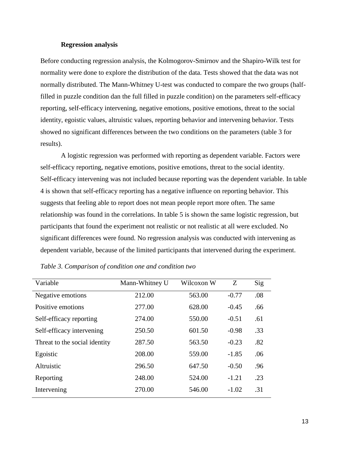#### **Regression analysis**

Before conducting regression analysis, the Kolmogorov-Smirnov and the Shapiro-Wilk test for normality were done to explore the distribution of the data. Tests showed that the data was not normally distributed. The Mann-Whitney U-test was conducted to compare the two groups (halffilled in puzzle condition dan the full filled in puzzle condition) on the parameters self-efficacy reporting, self-efficacy intervening, negative emotions, positive emotions, threat to the social identity, egoistic values, altruistic values, reporting behavior and intervening behavior. Tests showed no significant differences between the two conditions on the parameters (table 3 for results).

A logistic regression was performed with reporting as dependent variable. Factors were self-efficacy reporting, negative emotions, positive emotions, threat to the social identity. Self-efficacy intervening was not included because reporting was the dependent variable. In table 4 is shown that self-efficacy reporting has a negative influence on reporting behavior. This suggests that feeling able to report does not mean people report more often. The same relationship was found in the correlations. In table 5 is shown the same logistic regression, but participants that found the experiment not realistic or not realistic at all were excluded. No significant differences were found. No regression analysis was conducted with intervening as dependent variable, because of the limited participants that intervened during the experiment.

| Variable                      | Mann-Whitney U | Wilcoxon W | Z       | Sig |
|-------------------------------|----------------|------------|---------|-----|
| Negative emotions             | 212.00         | 563.00     | $-0.77$ | .08 |
| Positive emotions             | 277.00         | 628.00     | $-0.45$ | .66 |
| Self-efficacy reporting       | 274.00         | 550.00     | $-0.51$ | .61 |
| Self-efficacy intervening     | 250.50         | 601.50     | $-0.98$ | .33 |
| Threat to the social identity | 287.50         | 563.50     | $-0.23$ | .82 |
| Egoistic                      | 208.00         | 559.00     | $-1.85$ | .06 |
| Altruistic                    | 296.50         | 647.50     | $-0.50$ | .96 |
| Reporting                     | 248.00         | 524.00     | $-1.21$ | .23 |
| Intervening                   | 270.00         | 546.00     | $-1.02$ | .31 |

*Table 3. Comparison of condition one and condition two*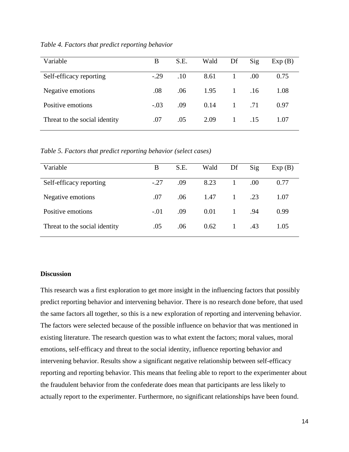| Variable                      | B      | S.E. | Wald | Df             | Sig | Exp(B) |
|-------------------------------|--------|------|------|----------------|-----|--------|
| Self-efficacy reporting       | $-.29$ | .10  | 8.61 |                | .00 | 0.75   |
| Negative emotions             | .08    | .06  | 1.95 | $\overline{1}$ | .16 | 1.08   |
| Positive emotions             | $-.03$ | .09  | 0.14 | 1              | .71 | 0.97   |
| Threat to the social identity | .07    | .05  | 2.09 |                | .15 | 1.07   |

*Table 4. Factors that predict reporting behavior* 

*Table 5. Factors that predict reporting behavior (select cases)*

| Variable                      | В      | S.E. | Wald | Df           | Sig | Exp(B) |
|-------------------------------|--------|------|------|--------------|-----|--------|
| Self-efficacy reporting       | $-.27$ | .09  | 8.23 |              | .00 | 0.77   |
| Negative emotions             | .07    | .06  | 1.47 | 1            | .23 | 1.07   |
| Positive emotions             | $-.01$ | .09  | 0.01 | $\mathbf{1}$ | .94 | 0.99   |
| Threat to the social identity | .05    | .06  | 0.62 | $\mathbf{1}$ | .43 | 1.05   |

## **Discussion**

This research was a first exploration to get more insight in the influencing factors that possibly predict reporting behavior and intervening behavior. There is no research done before, that used the same factors all together, so this is a new exploration of reporting and intervening behavior. The factors were selected because of the possible influence on behavior that was mentioned in existing literature. The research question was to what extent the factors; moral values, moral emotions, self-efficacy and threat to the social identity, influence reporting behavior and intervening behavior. Results show a significant negative relationship between self-efficacy reporting and reporting behavior. This means that feeling able to report to the experimenter about the fraudulent behavior from the confederate does mean that participants are less likely to actually report to the experimenter. Furthermore, no significant relationships have been found.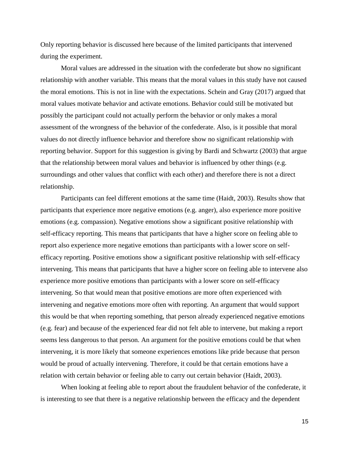Only reporting behavior is discussed here because of the limited participants that intervened during the experiment.

Moral values are addressed in the situation with the confederate but show no significant relationship with another variable. This means that the moral values in this study have not caused the moral emotions. This is not in line with the expectations. Schein and Gray (2017) argued that moral values motivate behavior and activate emotions. Behavior could still be motivated but possibly the participant could not actually perform the behavior or only makes a moral assessment of the wrongness of the behavior of the confederate. Also, is it possible that moral values do not directly influence behavior and therefore show no significant relationship with reporting behavior. Support for this suggestion is giving by Bardi and Schwartz (2003) that argue that the relationship between moral values and behavior is influenced by other things (e.g. surroundings and other values that conflict with each other) and therefore there is not a direct relationship.

Participants can feel different emotions at the same time (Haidt, 2003). Results show that participants that experience more negative emotions (e.g. anger), also experience more positive emotions (e.g. compassion). Negative emotions show a significant positive relationship with self-efficacy reporting. This means that participants that have a higher score on feeling able to report also experience more negative emotions than participants with a lower score on selfefficacy reporting. Positive emotions show a significant positive relationship with self-efficacy intervening. This means that participants that have a higher score on feeling able to intervene also experience more positive emotions than participants with a lower score on self-efficacy intervening. So that would mean that positive emotions are more often experienced with intervening and negative emotions more often with reporting. An argument that would support this would be that when reporting something, that person already experienced negative emotions (e.g. fear) and because of the experienced fear did not felt able to intervene, but making a report seems less dangerous to that person. An argument for the positive emotions could be that when intervening, it is more likely that someone experiences emotions like pride because that person would be proud of actually intervening. Therefore, it could be that certain emotions have a relation with certain behavior or feeling able to carry out certain behavior (Haidt, 2003).

When looking at feeling able to report about the fraudulent behavior of the confederate, it is interesting to see that there is a negative relationship between the efficacy and the dependent

15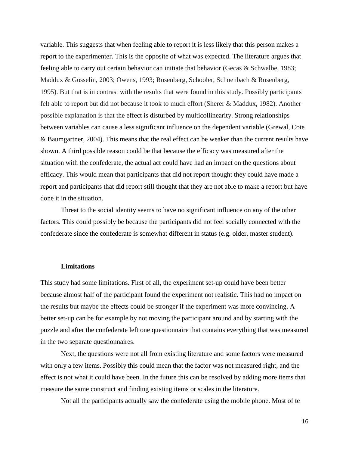variable. This suggests that when feeling able to report it is less likely that this person makes a report to the experimenter. This is the opposite of what was expected. The literature argues that feeling able to carry out certain behavior can initiate that behavior (Gecas & Schwalbe, 1983; Maddux & Gosselin, 2003; Owens, 1993; Rosenberg, Schooler, Schoenbach & Rosenberg, 1995). But that is in contrast with the results that were found in this study. Possibly participants felt able to report but did not because it took to much effort (Sherer & Maddux, 1982). Another possible explanation is that the effect is disturbed by multicollinearity. Strong relationships between variables can cause a less significant influence on the dependent variable (Grewal, Cote & Baumgartner, 2004). This means that the real effect can be weaker than the current results have shown. A third possible reason could be that because the efficacy was measured after the situation with the confederate, the actual act could have had an impact on the questions about efficacy. This would mean that participants that did not report thought they could have made a report and participants that did report still thought that they are not able to make a report but have done it in the situation.

Threat to the social identity seems to have no significant influence on any of the other factors. This could possibly be because the participants did not feel socially connected with the confederate since the confederate is somewhat different in status (e.g. older, master student).

#### **Limitations**

This study had some limitations. First of all, the experiment set-up could have been better because almost half of the participant found the experiment not realistic. This had no impact on the results but maybe the effects could be stronger if the experiment was more convincing. A better set-up can be for example by not moving the participant around and by starting with the puzzle and after the confederate left one questionnaire that contains everything that was measured in the two separate questionnaires.

Next, the questions were not all from existing literature and some factors were measured with only a few items. Possibly this could mean that the factor was not measured right, and the effect is not what it could have been. In the future this can be resolved by adding more items that measure the same construct and finding existing items or scales in the literature.

Not all the participants actually saw the confederate using the mobile phone. Most of te

16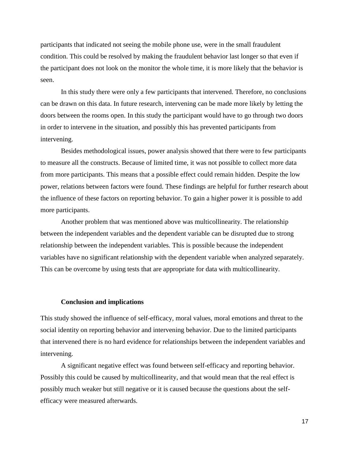participants that indicated not seeing the mobile phone use, were in the small fraudulent condition. This could be resolved by making the fraudulent behavior last longer so that even if the participant does not look on the monitor the whole time, it is more likely that the behavior is seen.

In this study there were only a few participants that intervened. Therefore, no conclusions can be drawn on this data. In future research, intervening can be made more likely by letting the doors between the rooms open. In this study the participant would have to go through two doors in order to intervene in the situation, and possibly this has prevented participants from intervening.

Besides methodological issues, power analysis showed that there were to few participants to measure all the constructs. Because of limited time, it was not possible to collect more data from more participants. This means that a possible effect could remain hidden. Despite the low power, relations between factors were found. These findings are helpful for further research about the influence of these factors on reporting behavior. To gain a higher power it is possible to add more participants.

Another problem that was mentioned above was multicollinearity. The relationship between the independent variables and the dependent variable can be disrupted due to strong relationship between the independent variables. This is possible because the independent variables have no significant relationship with the dependent variable when analyzed separately. This can be overcome by using tests that are appropriate for data with multicollinearity.

#### **Conclusion and implications**

This study showed the influence of self-efficacy, moral values, moral emotions and threat to the social identity on reporting behavior and intervening behavior. Due to the limited participants that intervened there is no hard evidence for relationships between the independent variables and intervening.

A significant negative effect was found between self-efficacy and reporting behavior. Possibly this could be caused by multicollinearity, and that would mean that the real effect is possibly much weaker but still negative or it is caused because the questions about the selfefficacy were measured afterwards.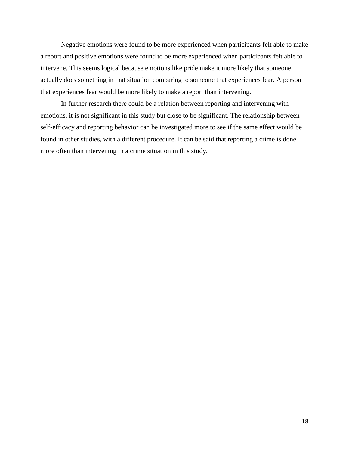Negative emotions were found to be more experienced when participants felt able to make a report and positive emotions were found to be more experienced when participants felt able to intervene. This seems logical because emotions like pride make it more likely that someone actually does something in that situation comparing to someone that experiences fear. A person that experiences fear would be more likely to make a report than intervening.

In further research there could be a relation between reporting and intervening with emotions, it is not significant in this study but close to be significant. The relationship between self-efficacy and reporting behavior can be investigated more to see if the same effect would be found in other studies, with a different procedure. It can be said that reporting a crime is done more often than intervening in a crime situation in this study.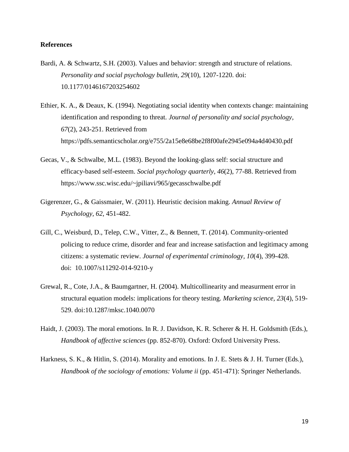# **References**

- Bardi, A. & Schwartz, S.H. (2003). Values and behavior: strength and structure of relations. *Personality and social psychology bulletin, 29*(10), 1207-1220. doi: 10.1177/0146167203254602
- Ethier, K. A., & Deaux, K. (1994). Negotiating social identity when contexts change: maintaining identification and responding to threat. *Journal of personality and social psychology, 67*(2), 243-251. Retrieved from https://pdfs.semanticscholar.org/e755/2a15e8e68be2f8f00afe2945e094a4d40430.pdf
- Gecas, V., & Schwalbe, M.L. (1983). Beyond the looking-glass self: social structure and efficacy-based self-esteem. *Social psychology quarterly, 46*(2), 77-88. Retrieved from https://www.ssc.wisc.edu/~jpiliavi/965/gecasschwalbe.pdf
- Gigerenzer, G., & Gaissmaier, W. (2011). Heuristic decision making. *Annual Review of Psychology, 62*, 451-482.
- Gill, C., Weisburd, D., Telep, C.W., Vitter, Z., & Bennett, T. (2014). Community-oriented policing to reduce crime, disorder and fear and increase satisfaction and legitimacy among citizens: a systematic review. *Journal of experimental criminology, 10*(4), 399-428. doi: [10.1007/s11292-014-9210-y](https://doi.org/10.1007/s11292-014-9210-y)
- Grewal, R., Cote, J.A., & Baumgartner, H. (2004). Multicollinearity and measurment error in structural equation models: implications for theory testing. *Marketing science, 23*(4), 519- 529. doi:10.1287/mksc.1040.0070
- Haidt, J. (2003). The moral emotions. In R. J. Davidson, K. R. Scherer & H. H. Goldsmith (Eds.), *Handbook of affective sciences* (pp. 852-870). Oxford: Oxford University Press.
- Harkness, S. K., & Hitlin, S. (2014). Morality and emotions. In J. E. Stets & J. H. Turner (Eds.), *Handbook of the sociology of emotions: Volume ii* (pp. 451-471): Springer Netherlands.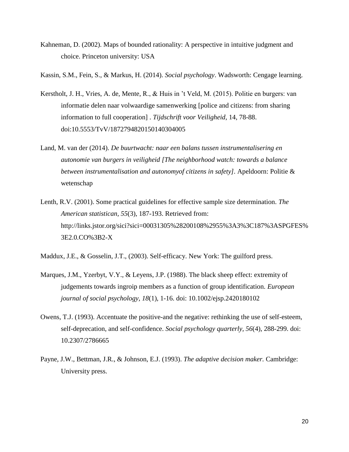- Kahneman, D. (2002). Maps of bounded rationality: A perspective in intuitive judgment and choice. Princeton university: USA
- Kassin, S.M., Fein, S., & Markus, H. (2014). *Social psychology*. Wadsworth: Cengage learning.
- Kerstholt, J. H., Vries, A. de, Mente, R., & Huis in 't Veld, M. (2015). Politie en burgers: van informatie delen naar volwaardige samenwerking [police and citizens: from sharing information to full cooperation] . *Tijdschrift voor Veiligheid*, 14, 78-88. doi:10.5553/TvV/1872794820150140304005
- Land, M. van der (2014). *De buurtwacht: naar een balans tussen instrumentalisering en autonomie van burgers in veiligheid [The neighborhood watch: towards a balance between instrumentalisation and autonomyof citizens in safety].* Apeldoorn: Politie & wetenschap
- Lenth, R.V. (2001). Some practical guidelines for effective sample size determination. *The American statistican, 55*(3), 187-193. Retrieved from: http://links.jstor.org/sici?sici=00031305%28200108%2955%3A3%3C187%3ASPGFES% 3E2.0.CO%3B2-X

Maddux, J.E., & Gosselin, J.T., (2003). Self-efficacy. New York: The guilford press.

- Marques, J.M., Yzerbyt, V.Y., & Leyens, J.P. (1988). The black sheep effect: extremity of judgements towards ingroip members as a function of group identification. *European journal of social psychology, 18*(1), 1-16. doi: [10.1002/ejsp.2420180102](https://doi.org/10.1002/ejsp.2420180102)
- Owens, T.J. (1993). Accentuate the positive-and the negative: rethinking the use of self-esteem, self-deprecation, and self-confidence. *Social psychology quarterly, 56*(4), 288-299. doi: 10.2307/2786665
- Payne, J.W., Bettman, J.R., & Johnson, E.J. (1993). *The adaptive decision maker.* Cambridge: University press.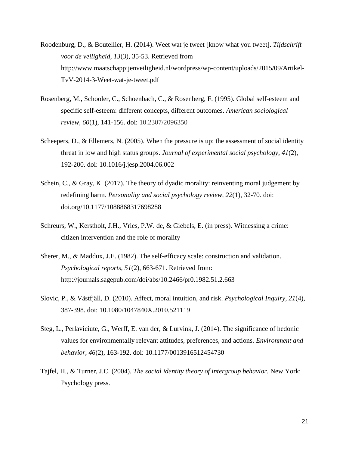- Roodenburg, D., & Boutellier, H. (2014). Weet wat je tweet [know what you tweet]. *Tijdschrift voor de veiligheid, 13*(3), 35-53. Retrieved from http://www.maatschappijenveiligheid.nl/wordpress/wp-content/uploads/2015/09/Artikel-TvV-2014-3-Weet-wat-je-tweet.pdf
- Rosenberg, M., Schooler, C., Schoenbach, C., & Rosenberg, F. (1995). Global self-esteem and specific self-esteem: different concepts, different outcomes. *American sociological review, 60*(1), 141-156. doi: 10.2307/2096350
- Scheepers, D., & Ellemers, N. (2005). When the pressure is up: the assessment of social identity threat in low and high status groups. *Journal of experimental social psychology, 41*(2), 192-200. doi: 10.1016/j.jesp.2004.06.002
- Schein, C., & Gray, K. (2017). The theory of dyadic morality: reinventing moral judgement by redefining harm. *Personality and social psychology review, 22*(1), 32-70. doi: doi.org/10.1177/1088868317698288
- Schreurs, W., Kerstholt, J.H., Vries, P.W. de, & Giebels, E. (in press). Witnessing a crime: citizen intervention and the role of morality
- Sherer, M., & Maddux, J.E. (1982). The self-efficacy scale: construction and validation. *Psychological reports, 51*(2), 663-671. Retrieved from: http://journals.sagepub.com/doi/abs/10.2466/pr0.1982.51.2.663
- Slovic, P., & Västfjäll, D. (2010). Affect, moral intuition, and risk. *Psychological Inquiry, 21*(4), 387-398. doi: 10.1080/1047840X.2010.521119
- Steg, L., Perlaviciute, G., Werff, E. van der, & Lurvink, J. (2014). The significance of hedonic values for environmentally relevant attitudes, preferences, and actions. *Environment and behavior, 46*(2), 163-192. doi: 10.1177/0013916512454730
- Tajfel, H., & Turner, J.C. (2004). *The social identity theory of intergroup behavior*. New York: Psychology press.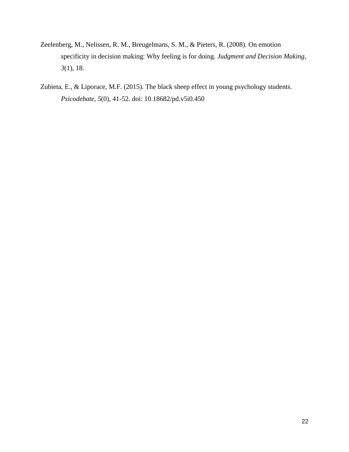- Zeelenberg, M., Nelissen, R. M., Breugelmans, S. M., & Pieters, R. (2008). On emotion specificity in decision making: Why feeling is for doing. *Judgment and Decision Making, 3*(1), 18.
- Zubieta, E., & Liporace, M.F. (2015). The black sheep effect in young psychology students. *Psicodebate, 5*(0), 41-52. doi: [10.18682/pd.v5i0.450](https://doi.org/10.18682/pd.v5i0.450)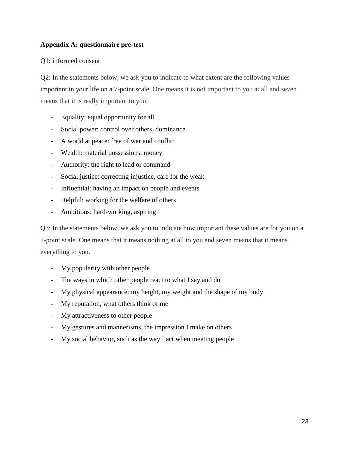# **Appendix A: questionnaire pre-test**

# Q1: informed consent

Q2: In the statements below, we ask you to indicate to what extent are the following values important in your life on a 7-point scale. One means it is not important to you at all and seven means that it is really important to you.

- Equality: equal opportunity for all
- Social power: control over others, dominance
- A world at peace: free of war and conflict
- Wealth: material possessions, money
- Authority: the right to lead or command
- Social justice: correcting injustice, care for the weak
- Influential: having an impact on people and events
- Helpful: working for the welfare of others
- Ambitious: hard-working, aspiring

Q3: In the statements below, we ask you to indicate how important these values are for you on a 7-point scale. One means that it means nothing at all to you and seven means that it means everything to you.

- My popularity with other people
- The ways in which other people react to what I say and do
- My physical appearance: my height, my weight and the shape of my body
- My reputation, what others think of me
- My attractiveness to other people
- My gestures and mannerisms, the impression I make on others
- My social behavior, such as the way I act when meeting people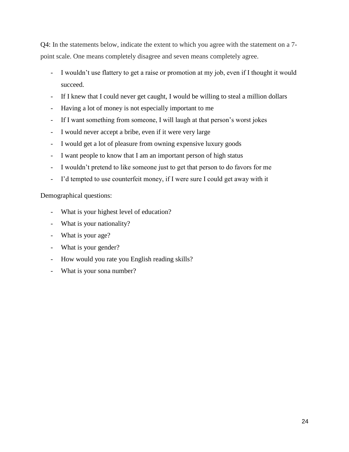Q4: In the statements below, indicate the extent to which you agree with the statement on a 7 point scale. One means completely disagree and seven means completely agree.

- I wouldn't use flattery to get a raise or promotion at my job, even if I thought it would succeed.
- If I knew that I could never get caught, I would be willing to steal a million dollars
- Having a lot of money is not especially important to me
- If I want something from someone, I will laugh at that person's worst jokes
- I would never accept a bribe, even if it were very large
- I would get a lot of pleasure from owning expensive luxury goods
- I want people to know that I am an important person of high status
- I wouldn't pretend to like someone just to get that person to do favors for me
- I'd tempted to use counterfeit money, if I were sure I could get away with it

Demographical questions:

- What is your highest level of education?
- What is your nationality?
- What is your age?
- What is your gender?
- How would you rate you English reading skills?
- What is your sona number?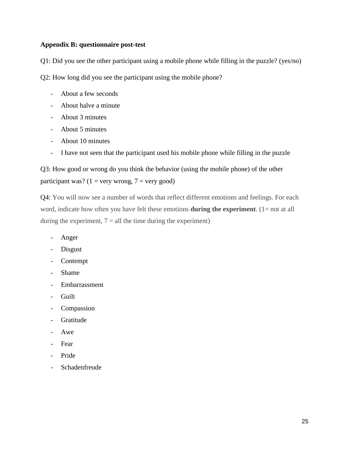# **Appendix B: questionnaire post-test**

Q1: Did you see the other participant using a mobile phone while filling in the puzzle? (yes/no)

Q2: How long did you see the participant using the mobile phone?

- About a few seconds
- About halve a minute
- About 3 minutes
- About 5 minutes
- About 10 minutes
- I have not seen that the participant used his mobile phone while filling in the puzzle

Q3: How good or wrong do you think the behavior (using the mobile phone) of the other participant was? ( $1 = \text{very wrong}, 7 = \text{very good}$ )

Q4: You will now see a number of words that reflect different emotions and feelings. For each word, indicate how often you have felt these emotions **during the experiment**. (1= not at all during the experiment,  $7 =$  all the time during the experiment)

- Anger
- Disgust
- Contempt
- Shame
- Embarrassment
- Guilt
- Compassion
- Gratitude
- Awe
- Fear
- Pride
- **Schadenfreude**